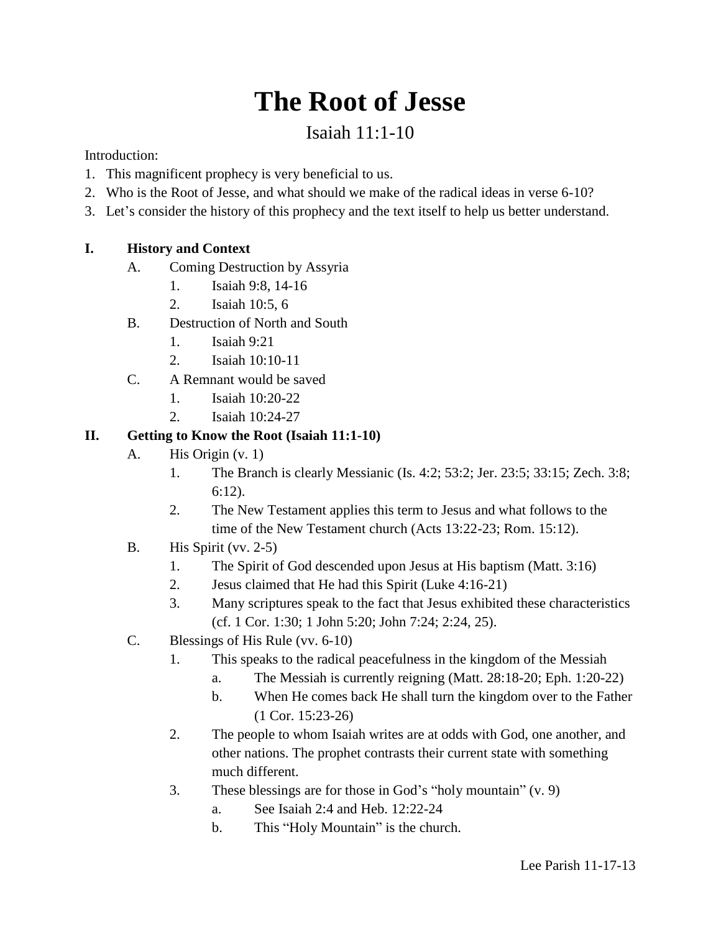## **The Root of Jesse**

## Isaiah 11:1-10

Introduction:

- 1. This magnificent prophecy is very beneficial to us.
- 2. Who is the Root of Jesse, and what should we make of the radical ideas in verse 6-10?
- 3. Let's consider the history of this prophecy and the text itself to help us better understand.

## **I. History and Context**

- A. Coming Destruction by Assyria
	- 1. Isaiah 9:8, 14-16
	- 2. Isaiah 10:5, 6
- B. Destruction of North and South
	- 1. Isaiah 9:21
	- 2. Isaiah 10:10-11
- C. A Remnant would be saved
	- 1. Isaiah 10:20-22
	- 2. Isaiah 10:24-27

## **II. Getting to Know the Root (Isaiah 11:1-10)**

- A. His Origin (v. 1)
	- 1. The Branch is clearly Messianic (Is. 4:2; 53:2; Jer. 23:5; 33:15; Zech. 3:8; 6:12).
	- 2. The New Testament applies this term to Jesus and what follows to the time of the New Testament church (Acts 13:22-23; Rom. 15:12).
- B. His Spirit (vv. 2-5)
	- 1. The Spirit of God descended upon Jesus at His baptism (Matt. 3:16)
	- 2. Jesus claimed that He had this Spirit (Luke 4:16-21)
	- 3. Many scriptures speak to the fact that Jesus exhibited these characteristics (cf. 1 Cor. 1:30; 1 John 5:20; John 7:24; 2:24, 25).
- C. Blessings of His Rule (vv. 6-10)
	- 1. This speaks to the radical peacefulness in the kingdom of the Messiah
		- a. The Messiah is currently reigning (Matt. 28:18-20; Eph. 1:20-22)
		- b. When He comes back He shall turn the kingdom over to the Father (1 Cor. 15:23-26)
	- 2. The people to whom Isaiah writes are at odds with God, one another, and other nations. The prophet contrasts their current state with something much different.
	- 3. These blessings are for those in God's "holy mountain" (v. 9)
		- a. See Isaiah 2:4 and Heb. 12:22-24
		- b. This "Holy Mountain" is the church.